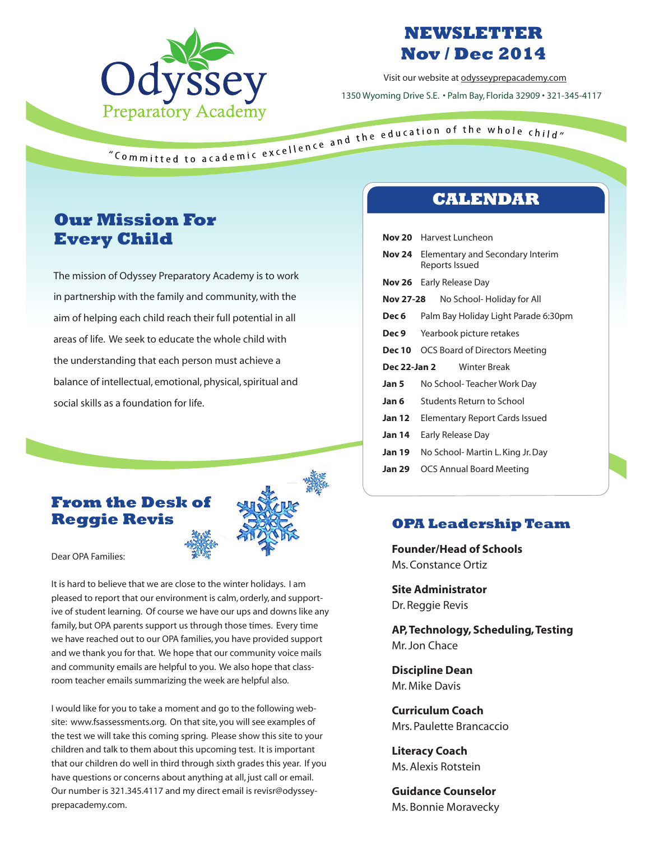

# **NEWSLETTER Nov / Dec 2014**

Visit our website at odysseyprepacademy.com 1350 Wyoming Drive S.E. • Palm Bay, Florida 32909 • 321-345-4117

# **Our Mission For Every Child**

The mission of Odyssey Preparatory Academy is to work in partnership with the family and community, with the aim of helping each child reach their full potential in all areas of life. We seek to educate the whole child with the understanding that each person must achieve a balance of intellectual, emotional, physical, spiritual and social skills as a foundation for life.

### **From the Desk of Reggie Revis**



Dear OPA Families:

It is hard to believe that we are close to the winter holidays. I am pleased to report that our environment is calm, orderly, and supportive of student learning. Of course we have our ups and downs like any family, but OPA parents support us through those times. Every time we have reached out to our OPA families, you have provided support and we thank you for that. We hope that our community voice mails and community emails are helpful to you. We also hope that classroom teacher emails summarizing the week are helpful also.

I would like for you to take a moment and go to the following website: www.fsassessments.org. On that site, you will see examples of the test we will take this coming spring. Please show this site to your children and talk to them about this upcoming test. It is important that our children do well in third through sixth grades this year. If you have questions or concerns about anything at all, just call or email. Our number is 321.345.4117 and my direct email is revisr@odysseyprepacademy.com.

## **CALENDAR**

| Nov 20                                     | Harvest Luncheon                                   |
|--------------------------------------------|----------------------------------------------------|
| <b>Nov 24</b>                              | Elementary and Secondary Interim<br>Reports Issued |
| Nov 26                                     | Early Release Day                                  |
| Nov 27-28                                  | No School- Holiday for All                         |
| Dec 6                                      | Palm Bay Holiday Light Parade 6:30pm               |
| Dec 9                                      | Yearbook picture retakes                           |
| Dec 10                                     | OCS Board of Directors Meeting                     |
| <b>Winter Break</b><br><b>Dec 22-Jan 2</b> |                                                    |
| Jan 5                                      | No School- Teacher Work Day                        |
| Jan 6                                      | Students Return to School                          |
| <b>Jan 12</b>                              | Elementary Report Cards Issued                     |
| <b>Jan 14</b>                              | Early Release Day                                  |
| <b>Jan 19</b>                              | No School- Martin L. King Jr. Day                  |
| <b>Jan 29</b>                              | <b>OCS Annual Board Meeting</b>                    |

### **OPA Leadership Team**

**Founder/Head of Schools** Ms. Constance Ortiz

**Site Administrator** Dr. Reggie Revis

**AP, Technology, Scheduling, Testing**  Mr. Jon Chace

**Discipline Dean** Mr. Mike Davis

**Curriculum Coach** Mrs. Paulette Brancaccio

**Literacy Coach** Ms. Alexis Rotstein

**Guidance Counselor** Ms. Bonnie Moravecky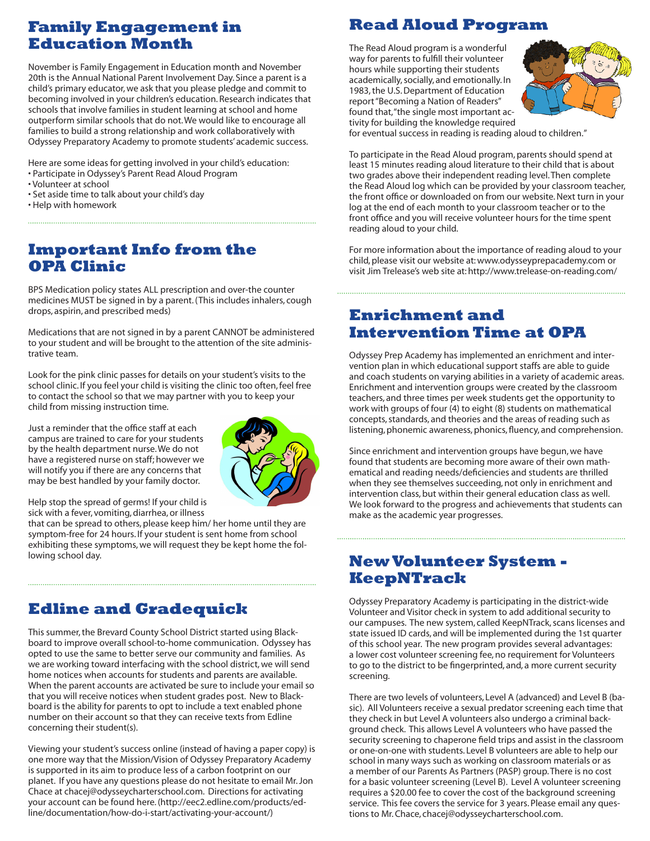## **Family Engagement in Education Month**

November is Family Engagement in Education month and November 20th is the Annual National Parent Involvement Day. Since a parent is a child's primary educator, we ask that you please pledge and commit to becoming involved in your children's education. Research indicates that schools that involve families in student learning at school and home outperform similar schools that do not. We would like to encourage all families to build a strong relationship and work collaboratively with Odyssey Preparatory Academy to promote students' academic success.

Here are some ideas for getting involved in your child's education:

- Participate in Odyssey's Parent Read Aloud Program
- Volunteer at school
- Set aside time to talk about your child's day
- Help with homework

## **Important Info from the OPA Clinic**

BPS Medication policy states ALL prescription and over-the counter medicines MUST be signed in by a parent. (This includes inhalers, cough drops, aspirin, and prescribed meds)

Medications that are not signed in by a parent CANNOT be administered to your student and will be brought to the attention of the site administrative team.

Look for the pink clinic passes for details on your student's visits to the school clinic. If you feel your child is visiting the clinic too often, feel free to contact the school so that we may partner with you to keep your child from missing instruction time.

Just a reminder that the office staff at each campus are trained to care for your students by the health department nurse. We do not have a registered nurse on staff; however we will notify you if there are any concerns that may be best handled by your family doctor.



Help stop the spread of germs! If your child is sick with a fever, vomiting, diarrhea, or illness

that can be spread to others, please keep him/ her home until they are symptom-free for 24 hours. If your student is sent home from school exhibiting these symptoms, we will request they be kept home the following school day.

# **Edline and Gradequick**

This summer, the Brevard County School District started using Blackboard to improve overall school-to-home communication. Odyssey has opted to use the same to better serve our community and families. As we are working toward interfacing with the school district, we will send home notices when accounts for students and parents are available. When the parent accounts are activated be sure to include your email so that you will receive notices when student grades post. New to Blackboard is the ability for parents to opt to include a text enabled phone number on their account so that they can receive texts from Edline concerning their student(s).

Viewing your student's success online (instead of having a paper copy) is one more way that the Mission/Vision of Odyssey Preparatory Academy is supported in its aim to produce less of a carbon footprint on our planet. If you have any questions please do not hesitate to email Mr. Jon Chace at chacej@odysseycharterschool.com. Directions for activating your account can be found here. (http://eec2.edline.com/products/edline/documentation/how-do-i-start/activating-your-account/)

## **Read Aloud Program**

The Read Aloud program is a wonderful way for parents to fulfill their volunteer hours while supporting their students academically, socially, and emotionally. In 1983, the U.S. Department of Education report "Becoming a Nation of Readers" found that, "the single most important activity for building the knowledge required



for eventual success in reading is reading aloud to children."

To participate in the Read Aloud program, parents should spend at least 15 minutes reading aloud literature to their child that is about two grades above their independent reading level. Then complete the Read Aloud log which can be provided by your classroom teacher, the front office or downloaded on from our website. Next turn in your log at the end of each month to your classroom teacher or to the front office and you will receive volunteer hours for the time spent reading aloud to your child.

For more information about the importance of reading aloud to your child, please visit our website at: www.odysseyprepacademy.com or visit Jim Trelease's web site at: http://www.trelease-on-reading.com/

### **Enrichment and Intervention Time at OPA**

Odyssey Prep Academy has implemented an enrichment and intervention plan in which educational support staffs are able to guide and coach students on varying abilities in a variety of academic areas. Enrichment and intervention groups were created by the classroom teachers, and three times per week students get the opportunity to work with groups of four (4) to eight (8) students on mathematical concepts, standards, and theories and the areas of reading such as listening, phonemic awareness, phonics, fluency, and comprehension.

Since enrichment and intervention groups have begun, we have found that students are becoming more aware of their own mathematical and reading needs/deficiencies and students are thrilled when they see themselves succeeding, not only in enrichment and intervention class, but within their general education class as well. We look forward to the progress and achievements that students can make as the academic year progresses.

## **New Volunteer System - KeepNTrack**

Odyssey Preparatory Academy is participating in the district-wide Volunteer and Visitor check in system to add additional security to our campuses. The new system, called KeepNTrack, scans licenses and state issued ID cards, and will be implemented during the 1st quarter of this school year. The new program provides several advantages: a lower cost volunteer screening fee, no requirement for Volunteers to go to the district to be fingerprinted, and, a more current security screening.

There are two levels of volunteers, Level A (advanced) and Level B (basic). All Volunteers receive a sexual predator screening each time that they check in but Level A volunteers also undergo a criminal background check. This allows Level A volunteers who have passed the security screening to chaperone field trips and assist in the classroom or one-on-one with students. Level B volunteers are able to help our school in many ways such as working on classroom materials or as a member of our Parents As Partners (PASP) group. There is no cost for a basic volunteer screening (Level B). Level A volunteer screening requires a \$20.00 fee to cover the cost of the background screening service. This fee covers the service for 3 years. Please email any questions to Mr. Chace, chacej@odysseycharterschool.com.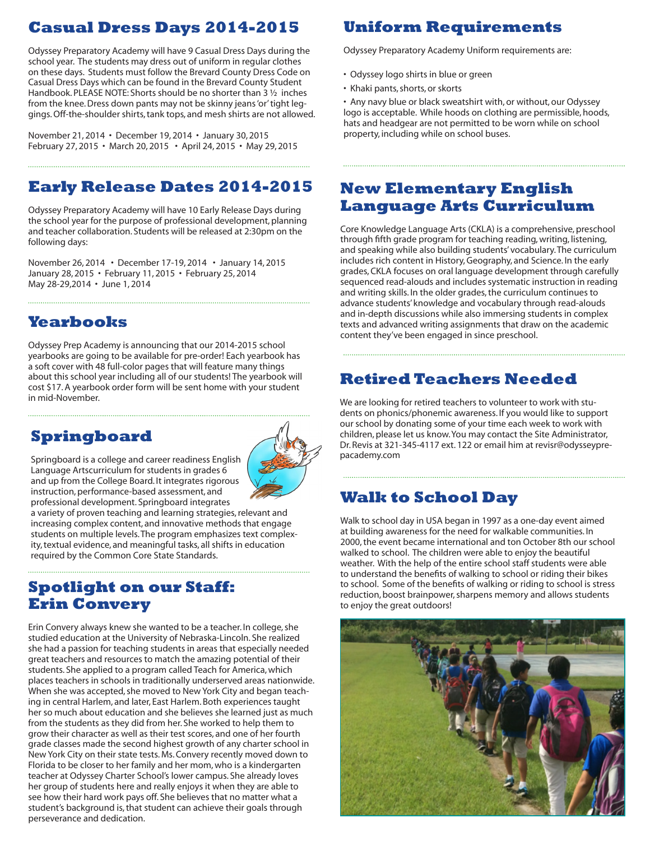# **Casual Dress Days 2014-2015**

Odyssey Preparatory Academy will have 9 Casual Dress Days during the school year. The students may dress out of uniform in regular clothes on these days. Students must follow the Brevard County Dress Code on Casual Dress Days which can be found in the Brevard County Student Handbook. PLEASE NOTE: Shorts should be no shorter than 3 <sup>1</sup>/<sub>2</sub> inches from the knee. Dress down pants may not be skinny jeans 'or' tight leggings. Off-the-shoulder shirts, tank tops, and mesh shirts are not allowed.

November 21, 2014 • December 19, 2014 • January 30, 2015 February 27, 2015 • March 20, 2015 • April 24, 2015 • May 29, 2015

# **Early Release Dates 2014-2015**

Odyssey Preparatory Academy will have 10 Early Release Days during the school year for the purpose of professional development, planning and teacher collaboration. Students will be released at 2:30pm on the following days:

November 26, 2014 • December 17-19, 2014 • January 14, 2015 January 28, 2015 • February 11, 2015 • February 25, 2014 May 28-29,2014 • June 1, 2014

# **Yearbooks**

Odyssey Prep Academy is announcing that our 2014-2015 school yearbooks are going to be available for pre-order! Each yearbook has a soft cover with 48 full-color pages that will feature many things about this school year including all of our students! The yearbook will cost \$17. A yearbook order form will be sent home with your student in mid-November.

# **Springboard**



Springboard is a college and career readiness English Language Artscurriculum for students in grades 6 and up from the College Board. It integrates rigorous instruction, performance-based assessment, and professional development. Springboard integrates

a variety of proven teaching and learning strategies, relevant and increasing complex content, and innovative methods that engage students on multiple levels. The program emphasizes text complexity, textual evidence, and meaningful tasks, all shifts in education required by the Common Core State Standards.

## **Spotlight on our Staff: Erin Convery**

Erin Convery always knew she wanted to be a teacher. In college, she studied education at the University of Nebraska-Lincoln. She realized she had a passion for teaching students in areas that especially needed great teachers and resources to match the amazing potential of their students. She applied to a program called Teach for America, which places teachers in schools in traditionally underserved areas nationwide. When she was accepted, she moved to New York City and began teaching in central Harlem, and later, East Harlem. Both experiences taught her so much about education and she believes she learned just as much from the students as they did from her. She worked to help them to grow their character as well as their test scores, and one of her fourth grade classes made the second highest growth of any charter school in New York City on their state tests. Ms. Convery recently moved down to Florida to be closer to her family and her mom, who is a kindergarten teacher at Odyssey Charter School's lower campus. She already loves her group of students here and really enjoys it when they are able to see how their hard work pays off. She believes that no matter what a student's background is, that student can achieve their goals through perseverance and dedication.

# **Uniform Requirements**

Odyssey Preparatory Academy Uniform requirements are:

- Odyssey logo shirts in blue or green
- Khaki pants, shorts, or skorts

• Any navy blue or black sweatshirt with, or without, our Odyssey logo is acceptable. While hoods on clothing are permissible, hoods, hats and headgear are not permitted to be worn while on school property, including while on school buses.

## **New Elementary English Language Arts Curriculum**

Core Knowledge Language Arts (CKLA) is a comprehensive, preschool through fifth grade program for teaching reading, writing, listening, and speaking while also building students' vocabulary. The curriculum includes rich content in History, Geography, and Science. In the early grades, CKLA focuses on oral language development through carefully sequenced read-alouds and includes systematic instruction in reading and writing skills. In the older grades, the curriculum continues to advance students' knowledge and vocabulary through read-alouds and in-depth discussions while also immersing students in complex texts and advanced writing assignments that draw on the academic content they've been engaged in since preschool.

# **Retired Teachers Needed**

We are looking for retired teachers to volunteer to work with students on phonics/phonemic awareness. If you would like to support our school by donating some of your time each week to work with children, please let us know. You may contact the Site Administrator, Dr. Revis at 321-345-4117 ext. 122 or email him at revisr@odysseyprepacademy.com

# **Walk to School Day**

Walk to school day in USA began in 1997 as a one-day event aimed at building awareness for the need for walkable communities. In 2000, the event became international and ton October 8th our school walked to school. The children were able to enjoy the beautiful weather. With the help of the entire school staff students were able to understand the benefits of walking to school or riding their bikes to school. Some of the benefits of walking or riding to school is stress reduction, boost brainpower, sharpens memory and allows students to enjoy the great outdoors!

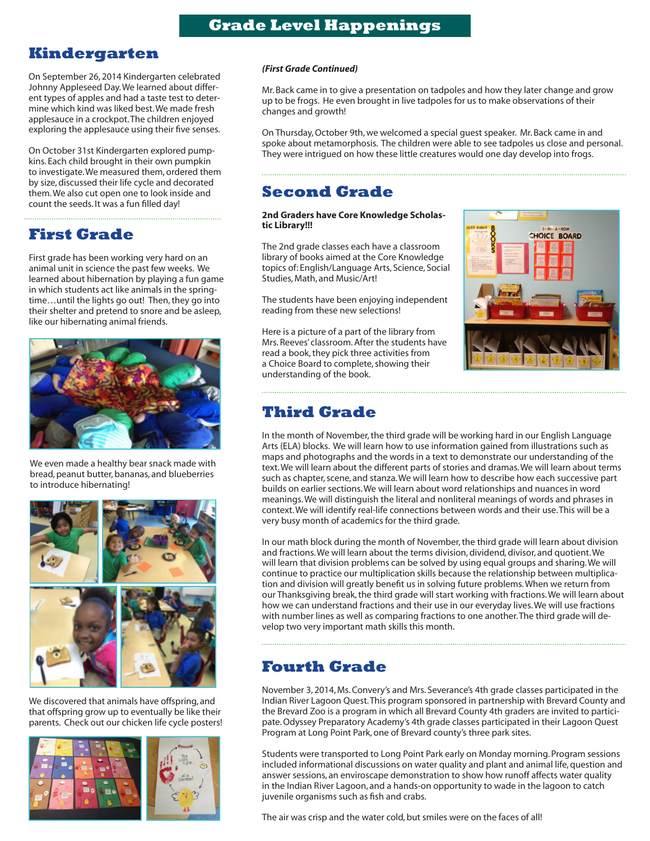## **Kindergarten**

On September 26, 2014 Kindergarten celebrated Johnny Appleseed Day. We learned about different types of apples and had a taste test to determine which kind was liked best. We made fresh applesauce in a crockpot. The children enjoyed exploring the applesauce using their five senses.

On October 31st Kindergarten explored pumpkins. Each child brought in their own pumpkin to investigate. We measured them, ordered them by size, discussed their life cycle and decorated them. We also cut open one to look inside and count the seeds. It was a fun filled day!

**First Grade**

First grade has been working very hard on an animal unit in science the past few weeks. We learned about hibernation by playing a fun game in which students act like animals in the springtime…until the lights go out! Then, they go into their shelter and pretend to snore and be asleep, like our hibernating animal friends.



We even made a healthy bear snack made with bread, peanut butter, bananas, and blueberries to introduce hibernating!



We discovered that animals have offspring, and that offspring grow up to eventually be like their parents. Check out our chicken life cycle posters!



### *(First Grade Continued)*

Mr. Back came in to give a presentation on tadpoles and how they later change and grow up to be frogs. He even brought in live tadpoles for us to make observations of their changes and growth!

On Thursday, October 9th, we welcomed a special guest speaker. Mr. Back came in and spoke about metamorphosis. The children were able to see tadpoles us close and personal. They were intrigued on how these little creatures would one day develop into frogs.

## **Second Grade**

**2nd Graders have Core Knowledge Scholastic Library!!!**

The 2nd grade classes each have a classroom library of books aimed at the Core Knowledge topics of: English/Language Arts, Science, Social Studies, Math, and Music/Art!

The students have been enjoying independent reading from these new selections!

Here is a picture of a part of the library from Mrs. Reeves' classroom. After the students have read a book, they pick three activities from a Choice Board to complete, showing their understanding of the book.



### **Third Grade**

In the month of November, the third grade will be working hard in our English Language Arts (ELA) blocks. We will learn how to use information gained from illustrations such as maps and photographs and the words in a text to demonstrate our understanding of the text. We will learn about the different parts of stories and dramas. We will learn about terms such as chapter, scene, and stanza. We will learn how to describe how each successive part builds on earlier sections. We will learn about word relationships and nuances in word meanings. We will distinguish the literal and nonliteral meanings of words and phrases in context. We will identify real-life connections between words and their use. This will be a very busy month of academics for the third grade.

In our math block during the month of November, the third grade will learn about division and fractions. We will learn about the terms division, dividend, divisor, and quotient. We will learn that division problems can be solved by using equal groups and sharing. We will continue to practice our multiplication skills because the relationship between multiplication and division will greatly benefit us in solving future problems. When we return from our Thanksgiving break, the third grade will start working with fractions. We will learn about how we can understand fractions and their use in our everyday lives. We will use fractions with number lines as well as comparing fractions to one another. The third grade will develop two very important math skills this month.

## **Fourth Grade**

November 3, 2014, Ms. Convery's and Mrs. Severance's 4th grade classes participated in the Indian River Lagoon Quest. This program sponsored in partnership with Brevard County and the Brevard Zoo is a program in which all Brevard County 4th graders are invited to participate. Odyssey Preparatory Academy's 4th grade classes participated in their Lagoon Quest Program at Long Point Park, one of Brevard county's three park sites.

Students were transported to Long Point Park early on Monday morning. Program sessions included informational discussions on water quality and plant and animal life, question and answer sessions, an enviroscape demonstration to show how runoff affects water quality in the Indian River Lagoon, and a hands-on opportunity to wade in the lagoon to catch juvenile organisms such as fish and crabs.

The air was crisp and the water cold, but smiles were on the faces of all!